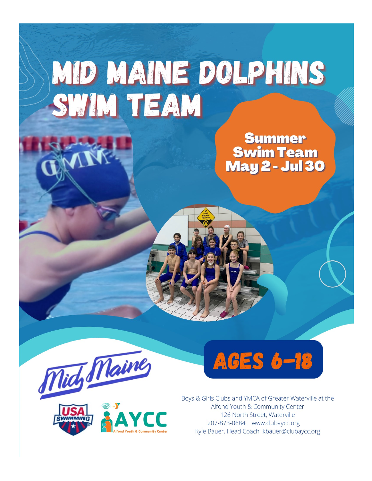## MID MAINE DOLPHINS SWIM TEAM

**Summer Swim Team May 2 - Jul 30** 







Boys & Girls Clubs and YMCA of Greater Waterville at the Alfond Youth & Community Center 126 North Street, Waterville 207-873-0684 www.clubaycc.org Kyle Bauer, Head Coach kbauer@clubaycc.org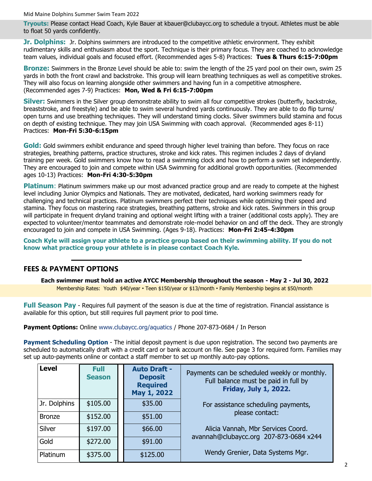Mid Maine Dolphins Summer Swim Team 2022

**Tryouts:** Please contact Head Coach, Kyle Bauer at kbauer@clubaycc.org to schedule a tryout. Athletes must be able to float 50 yards confidently.

**Jr. Dolphins:** Jr. Dolphins swimmers are introduced to the competitive athletic environment. They exhibit rudimentary skills and enthusiasm about the sport. Technique is their primary focus. They are coached to acknowledge team values, individual goals and focused effort. (Recommended ages 5-8) Practices: **Tues & Thurs 6:15-7:00pm**

**Bronze:** Swimmers in the Bronze Level should be able to: swim the length of the 25 yard pool on their own, swim 25 yards in both the front crawl and backstroke. This group will learn breathing techniques as well as competitive strokes. They will also focus on learning alongside other swimmers and having fun in a competitive atmosphere. (Recommended ages 7-9) Practices: **Mon, Wed & Fri 6:15-7:00pm**

**Silver:** Swimmers in the Silver group demonstrate ability to swim all four competitive strokes (butterfly, backstroke, breaststroke, and freestyle) and be able to swim several hundred yards continuously. They are able to do flip turns/ open turns and use breathing techniques. They will understand timing clocks. Silver swimmers build stamina and focus on depth of existing technique. They may join USA Swimming with coach approval. (Recommended ages 8-11) Practices: **Mon-Fri 5:30-6:15pm**

**Gold:** Gold swimmers exhibit endurance and speed through higher level training than before. They focus on race strategies, breathing patterns, practice structures, stroke and kick rates. This regimen includes 2 days of dryland training per week. Gold swimmers know how to read a swimming clock and how to perform a swim set independently. They are encouraged to join and compete within USA Swimming for additional growth opportunities. (Recommended ages 10-13) Practices: **Mon-Fri 4:30-5:30pm**

**Platinum**: Platinum swimmers make up our most advanced practice group and are ready to compete at the highest level including Junior Olympics and Nationals. They are motivated, dedicated, hard working swimmers ready for challenging and technical practices. Platinum swimmers perfect their techniques while optimizing their speed and stamina. They focus on mastering race strategies, breathing patterns, stroke and kick rates. Swimmers in this group will participate in frequent dryland training and optional weight lifting with a trainer (additional costs apply). They are expected to volunteer/mentor teammates and demonstrate role-model behavior on and off the deck. They are strongly encouraged to join and compete in USA Swimming. (Ages 9-18). Practices: **Mon-Fri 2:45-4:30pm**

**Coach Kyle will assign your athlete to a practice group based on their swimming ability. If you do not know what practice group your athlete is in please contact Coach Kyle.** 

## **FEES & PAYMENT OPTIONS**

**Each swimmer must hold an active AYCC Membership throughout the season - May 2 - Jul 30, 2022**  Membership Rates: Youth \$40/year • Teen \$150/year or \$13/month • Family Membership begins at \$50/month

**Full Season Pay** - Requires full payment of the season is due at the time of registration. Financial assistance is available for this option, but still requires full payment prior to pool time.

**Payment Options:** Online www.clubaycc.org/aquatics / Phone 207-873-0684 / In Person

**Payment Scheduling Option** - The initial deposit payment is due upon registration. The second two payments are scheduled to automatically draft with a credit card or bank account on file. See page 3 for required form. Families may set up auto-payments online or contact a staff member to set up monthly auto-pay options.

| Level        | <b>Full</b><br><b>Season</b> | <b>Auto Draft -</b><br><b>Deposit</b><br><b>Required</b><br>May 1, 2022 | Payments can be scheduled weekly or monthly.<br>Full balance must be paid in full by<br><b>Friday, July 1, 2022.</b> |  |
|--------------|------------------------------|-------------------------------------------------------------------------|----------------------------------------------------------------------------------------------------------------------|--|
| Jr. Dolphins | \$105.00                     | \$35.00                                                                 | For assistance scheduling payments,                                                                                  |  |
| Bronze       | \$152.00                     | \$51.00                                                                 | please contact:                                                                                                      |  |
| Silver       | \$197.00                     | \$66.00                                                                 | Alicia Vannah, Mbr Services Coord.                                                                                   |  |
| Gold         | \$272.00                     | \$91.00                                                                 | avannah@clubaycc.org 207-873-0684 x244                                                                               |  |
| l Platinum   | \$375.00                     | \$125.00                                                                | Wendy Grenier, Data Systems Mgr.                                                                                     |  |